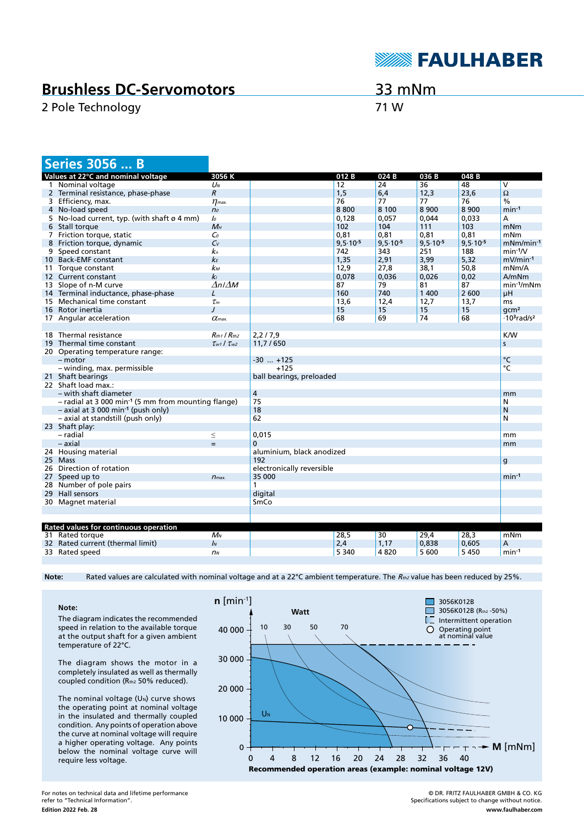

## **Brushless DC-Servomotors**

2 Pole Technology 71 W

33 mNm

|   | <b>Series 3056  B</b>                                             |                           |                           |               |                  |               |               |                                            |
|---|-------------------------------------------------------------------|---------------------------|---------------------------|---------------|------------------|---------------|---------------|--------------------------------------------|
|   | Values at 22°C and nominal voltage                                | 3056 K                    |                           | 012B          | 024 <sub>B</sub> | 036B          | 048B          |                                            |
|   | 1 Nominal voltage                                                 | $U_N$                     |                           | 12            | 24               | 36            | 48            | V                                          |
|   | 2 Terminal resistance, phase-phase                                | $\overline{R}$            |                           | 1,5           | 6,4              | 12,3          | 23,6          | $\Omega$                                   |
|   | 3 Efficiency, max.                                                | $\eta$ <sub>max</sub> .   |                           | 76            | 77               | 77            | 76            | $\%$                                       |
|   | 4 No-load speed                                                   | n <sub>o</sub>            |                           | 8800          | 8 100            | 8 9 0 0       | 8 9 0 0       | $min-1$                                    |
|   | 5 No-load current, typ. (with shaft $\varnothing$ 4 mm)           | Io                        |                           | 0,128         | 0,057            | 0,044         | 0,033         | А                                          |
|   | 6 Stall torque                                                    | $M_H$                     |                           | 102           | 104              | 111           | 103           | mNm                                        |
|   | 7 Friction torque, static                                         | $\mathcal{C}_0$           |                           | 0,81          | 0,81             | 0,81          | 0,81          | mNm                                        |
| 8 | Friction torque, dynamic                                          | $C_{V}$                   |                           | $9,5.10^{-5}$ | $9,5.10^{-5}$    | $9,5.10^{-5}$ | $9,5.10^{-5}$ | $mNm/min-1$                                |
|   | 9 Speed constant                                                  | kп                        |                           | 742           | 343              | 251           | 188           | $min-1/V$                                  |
|   | 10 Back-EMF constant                                              | kЕ                        |                           | 1,35          | 2,91             | 3,99          | 5,32          | $mV/min-1$                                 |
|   | 11 Torque constant                                                | $k_{M}$                   |                           | 12,9          | 27,8             | 38,1          | 50,8          | mNm/A                                      |
|   | 12 Current constant                                               | k <sub>l</sub>            |                           | 0,078         | 0,036            | 0,026         | 0,02          | A/mNm                                      |
|   | 13 Slope of n-M curve                                             | $\Delta n / \Delta M$     |                           | 87            | 79               | 81            | 87            | $min-1/mNm$                                |
|   | 14 Terminal inductance, phase-phase                               | L                         |                           | 160           | 740              | 1 400         | 2 600         | μH                                         |
|   | 15 Mechanical time constant                                       | $\tau_m$                  |                           | 13,6          | 12,4             | 12,7          | 13,7          | <sub>ms</sub>                              |
|   | 16 Rotor inertia                                                  | $\prime$                  |                           | 15            | 15               | 15            | 15            | qcm <sup>2</sup>                           |
|   | 17 Angular acceleration                                           | $\alpha$ <sub>max</sub>   |                           | 68            | 69               | 74            | 68            | $\cdot$ 10 <sup>3</sup> rad/s <sup>2</sup> |
|   |                                                                   |                           |                           |               |                  |               |               |                                            |
|   | 18 Thermal resistance                                             | $R_{th1}$ / $R_{th2}$     | 2,2/7,9                   |               |                  |               |               | <b>K/W</b>                                 |
|   | 19 Thermal time constant                                          | $\tau_{w1}$ / $\tau_{w2}$ | 11,7/650                  |               |                  |               |               | S                                          |
|   | 20 Operating temperature range:                                   |                           |                           |               |                  |               |               |                                            |
|   | $-$ motor                                                         |                           | $-30$ $+125$              |               |                  |               |               | °C                                         |
|   | - winding, max. permissible                                       |                           | $+125$                    |               |                  |               |               | °C                                         |
|   | 21 Shaft bearings                                                 |                           | ball bearings, preloaded  |               |                  |               |               |                                            |
|   | 22 Shaft load max.:                                               |                           |                           |               |                  |               |               |                                            |
|   | - with shaft diameter                                             |                           | 4                         |               |                  |               |               | mm                                         |
|   | $-$ radial at 3 000 min <sup>-1</sup> (5 mm from mounting flange) |                           | 75                        |               |                  |               |               | N                                          |
|   | $-$ axial at 3 000 min <sup>-1</sup> (push only)                  |                           | 18                        |               |                  |               |               | N                                          |
|   | - axial at standstill (push only)                                 |                           | 62                        |               |                  |               |               | N                                          |
|   | 23 Shaft play:                                                    |                           |                           |               |                  |               |               |                                            |
|   | - radial                                                          | $\leq$                    | 0,015                     |               |                  |               |               | mm                                         |
|   | - axial                                                           | $=$                       | $\mathbf 0$               |               |                  |               |               | mm                                         |
|   | 24 Housing material                                               |                           | aluminium, black anodized |               |                  |               |               |                                            |
|   | 25 Mass                                                           |                           | 192                       |               |                  |               |               | g                                          |
|   | 26 Direction of rotation                                          |                           | electronically reversible |               |                  |               |               |                                            |
|   | 27 Speed up to                                                    | $n_{max.}$                | 35 000                    |               |                  |               |               | $min-1$                                    |
|   | 28 Number of pole pairs                                           |                           | 1                         |               |                  |               |               |                                            |
|   | 29 Hall sensors                                                   |                           | digital                   |               |                  |               |               |                                            |
|   | 30 Magnet material                                                |                           | SmCo                      |               |                  |               |               |                                            |
|   |                                                                   |                           |                           |               |                  |               |               |                                            |
|   |                                                                   |                           |                           |               |                  |               |               |                                            |
|   | Rated values for continuous operation                             |                           |                           |               |                  |               |               |                                            |
|   | 31 Rated torque                                                   | $M_N$                     |                           | 28,5          | 30               | 29,4          | 28,3          | mNm                                        |
|   | 32 Rated current (thermal limit)                                  | $\mathbf{I}$              |                           | 2,4           | 1,17             | 0,838         | 0,605         | Α                                          |
|   | 33 Rated speed                                                    | n <sub>N</sub>            |                           | 5 3 4 0       | 4820             | 5 600         | 5450          | $min-1$                                    |
|   |                                                                   |                           |                           |               |                  |               |               |                                            |

Note: Rated values are calculated with nominal voltage and at a 22°C ambient temperature. The Rth2 value has been reduced by 25%.

**Note:**

The diagram indicates the recommended speed in relation to the available torque at the output shaft for a given ambient temperature of 22°C.

The diagram shows the motor in a completely insulated as well as thermally coupled condition (Rth2 50% reduced).

The nominal voltage  $(U_N)$  curve shows the operating point at nominal voltage in the insulated and thermally coupled condition. Any points of operation above the curve at nominal voltage will require a higher operating voltage. Any points below the nominal voltage curve will require less voltage.



© DR. FRITZ FAULHABER GMBH & CO. KG Specifications subject to change without notice. **www.faulhaber.com**